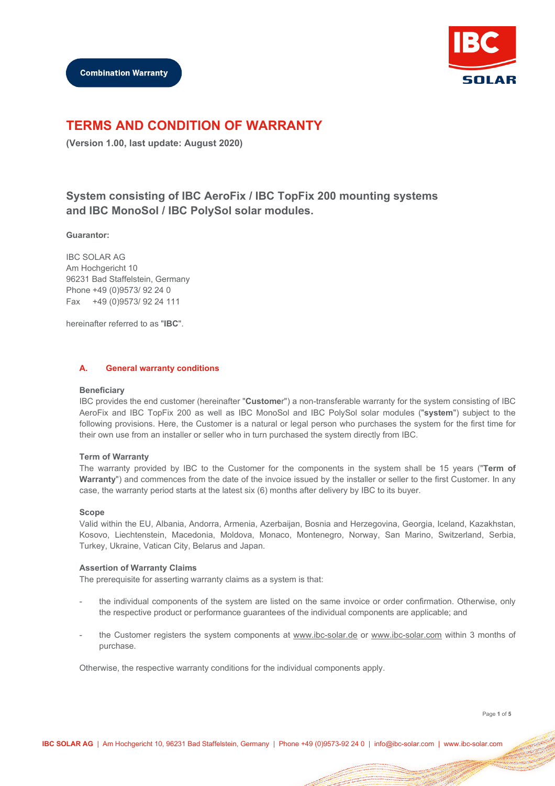

# **TERMS AND CONDITION OF WARRANTY**

**(Version 1.00, last update: August 2020)**

# **System consisting of IBC AeroFix / IBC TopFix 200 mounting systems and IBC MonoSol / IBC PolySol solar modules.**

## **Guarantor:**

IBC SOLAR AG Am Hochgericht 10 96231 Bad Staffelstein, Germany Phone +49 (0)9573/ 92 24 0 Fax +49 (0)9573/ 92 24 111

hereinafter referred to as "**IBC**".

## **A. General warranty conditions**

#### **Beneficiary**

IBC provides the end customer (hereinafter "**Custome**r") a non-transferable warranty for the system consisting of IBC AeroFix and IBC TopFix 200 as well as IBC MonoSol and IBC PolySol solar modules ("**system**") subject to the following provisions. Here, the Customer is a natural or legal person who purchases the system for the first time for their own use from an installer or seller who in turn purchased the system directly from IBC.

## **Term of Warranty**

The warranty provided by IBC to the Customer for the components in the system shall be 15 years ("**Term of Warranty**") and commences from the date of the invoice issued by the installer or seller to the first Customer. In any case, the warranty period starts at the latest six (6) months after delivery by IBC to its buyer.

#### **Scope**

Valid within the EU, Albania, Andorra, Armenia, Azerbaijan, Bosnia and Herzegovina, Georgia, Iceland, Kazakhstan, Kosovo, Liechtenstein, Macedonia, Moldova, Monaco, Montenegro, Norway, San Marino, Switzerland, Serbia, Turkey, Ukraine, Vatican City, Belarus and Japan.

## **Assertion of Warranty Claims**

The prerequisite for asserting warranty claims as a system is that:

- the individual components of the system are listed on the same invoice or order confirmation. Otherwise, only the respective product or performance guarantees of the individual components are applicable; and
- the Customer registers the system components at www.ibc-solar.de or www.ibc-solar.com within 3 months of purchase.

Otherwise, the respective warranty conditions for the individual components apply.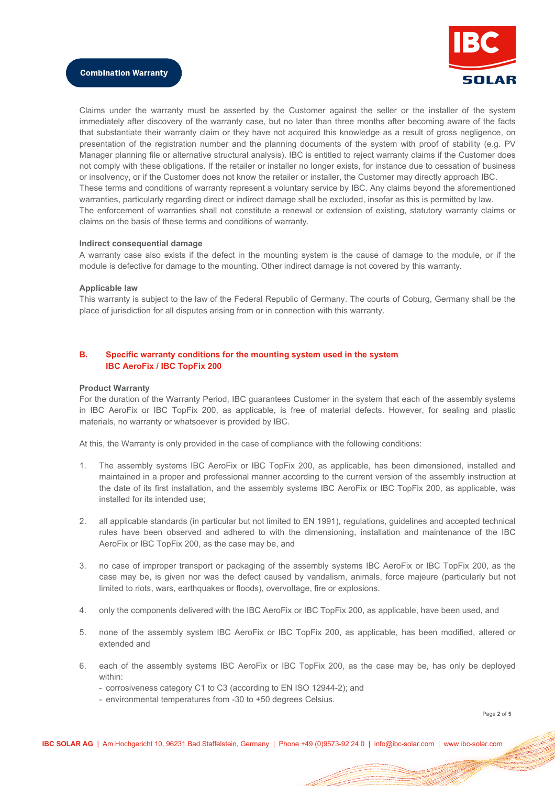

Claims under the warranty must be asserted by the Customer against the seller or the installer of the system immediately after discovery of the warranty case, but no later than three months after becoming aware of the facts that substantiate their warranty claim or they have not acquired this knowledge as a result of gross negligence, on presentation of the registration number and the planning documents of the system with proof of stability (e.g. PV Manager planning file or alternative structural analysis). IBC is entitled to reject warranty claims if the Customer does not comply with these obligations. If the retailer or installer no longer exists, for instance due to cessation of business or insolvency, or if the Customer does not know the retailer or installer, the Customer may directly approach IBC. These terms and conditions of warranty represent a voluntary service by IBC. Any claims beyond the aforementioned warranties, particularly regarding direct or indirect damage shall be excluded, insofar as this is permitted by law. The enforcement of warranties shall not constitute a renewal or extension of existing, statutory warranty claims or claims on the basis of these terms and conditions of warranty.

## **Indirect consequential damage**

A warranty case also exists if the defect in the mounting system is the cause of damage to the module, or if the module is defective for damage to the mounting. Other indirect damage is not covered by this warranty.

#### **Applicable law**

This warranty is subject to the law of the Federal Republic of Germany. The courts of Coburg, Germany shall be the place of jurisdiction for all disputes arising from or in connection with this warranty.

# **B. Specific warranty conditions for the mounting system used in the system IBC AeroFix / IBC TopFix 200**

#### **Product Warranty**

For the duration of the Warranty Period, IBC guarantees Customer in the system that each of the assembly systems in IBC AeroFix or IBC TopFix 200, as applicable, is free of material defects. However, for sealing and plastic materials, no warranty or whatsoever is provided by IBC.

At this, the Warranty is only provided in the case of compliance with the following conditions:

- 1. The assembly systems IBC AeroFix or IBC TopFix 200, as applicable, has been dimensioned, installed and maintained in a proper and professional manner according to the current version of the assembly instruction at the date of its first installation, and the assembly systems IBC AeroFix or IBC TopFix 200, as applicable, was installed for its intended use;
- 2. all applicable standards (in particular but not limited to EN 1991), regulations, guidelines and accepted technical rules have been observed and adhered to with the dimensioning, installation and maintenance of the IBC AeroFix or IBC TopFix 200, as the case may be, and
- 3. no case of improper transport or packaging of the assembly systems IBC AeroFix or IBC TopFix 200, as the case may be, is given nor was the defect caused by vandalism, animals, force majeure (particularly but not limited to riots, wars, earthquakes or floods), overvoltage, fire or explosions.
- 4. only the components delivered with the IBC AeroFix or IBC TopFix 200, as applicable, have been used, and
- 5. none of the assembly system IBC AeroFix or IBC TopFix 200, as applicable, has been modified, altered or extended and
- 6. each of the assembly systems IBC AeroFix or IBC TopFix 200, as the case may be, has only be deployed within:
	- corrosiveness category C1 to C3 (according to EN ISO 12944-2); and
	- environmental temperatures from -30 to +50 degrees Celsius.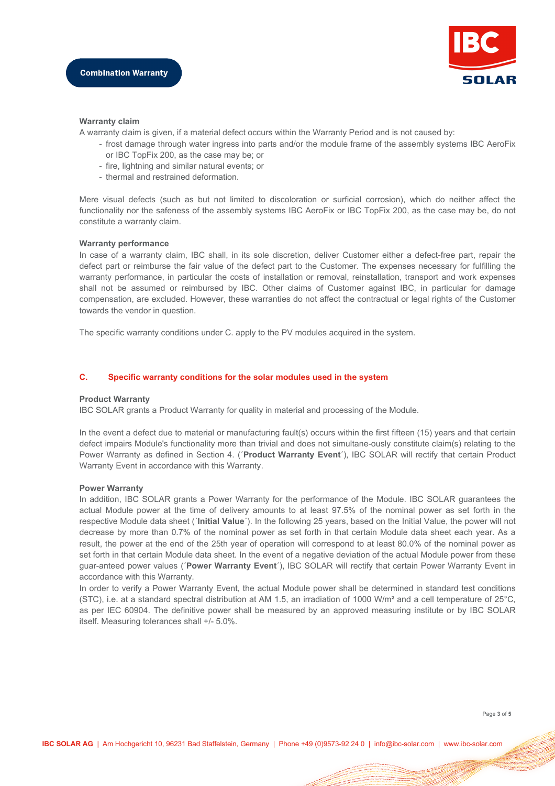

## **Warranty claim**

A warranty claim is given, if a material defect occurs within the Warranty Period and is not caused by:

- frost damage through water ingress into parts and/or the module frame of the assembly systems IBC AeroFix or IBC TopFix 200, as the case may be; or
- fire, lightning and similar natural events; or
- thermal and restrained deformation.

Mere visual defects (such as but not limited to discoloration or surficial corrosion), which do neither affect the functionality nor the safeness of the assembly systems IBC AeroFix or IBC TopFix 200, as the case may be, do not constitute a warranty claim.

## **Warranty performance**

In case of a warranty claim, IBC shall, in its sole discretion, deliver Customer either a defect-free part, repair the defect part or reimburse the fair value of the defect part to the Customer. The expenses necessary for fulfilling the warranty performance, in particular the costs of installation or removal, reinstallation, transport and work expenses shall not be assumed or reimbursed by IBC. Other claims of Customer against IBC, in particular for damage compensation, are excluded. However, these warranties do not affect the contractual or legal rights of the Customer towards the vendor in question.

The specific warranty conditions under C. apply to the PV modules acquired in the system.

## **C. Specific warranty conditions for the solar modules used in the system**

## **Product Warranty**

IBC SOLAR grants a Product Warranty for quality in material and processing of the Module.

In the event a defect due to material or manufacturing fault(s) occurs within the first fifteen (15) years and that certain defect impairs Module's functionality more than trivial and does not simultane-ously constitute claim(s) relating to the Power Warranty as defined in Section 4. (´**Product Warranty Event**´), IBC SOLAR will rectify that certain Product Warranty Event in accordance with this Warranty.

## **Power Warranty**

In addition, IBC SOLAR grants a Power Warranty for the performance of the Module. IBC SOLAR guarantees the actual Module power at the time of delivery amounts to at least 97.5% of the nominal power as set forth in the respective Module data sheet (´**Initial Value**´). In the following 25 years, based on the Initial Value, the power will not decrease by more than 0.7% of the nominal power as set forth in that certain Module data sheet each year. As a result, the power at the end of the 25th year of operation will correspond to at least 80.0% of the nominal power as set forth in that certain Module data sheet. In the event of a negative deviation of the actual Module power from these guar-anteed power values (´**Power Warranty Event**´), IBC SOLAR will rectify that certain Power Warranty Event in accordance with this Warranty.

In order to verify a Power Warranty Event, the actual Module power shall be determined in standard test conditions (STC), i.e. at a standard spectral distribution at AM 1.5, an irradiation of 1000 W/m<sup>2</sup> and a cell temperature of 25 $^{\circ}$ C, as per IEC 60904. The definitive power shall be measured by an approved measuring institute or by IBC SOLAR itself. Measuring tolerances shall +/- 5.0%.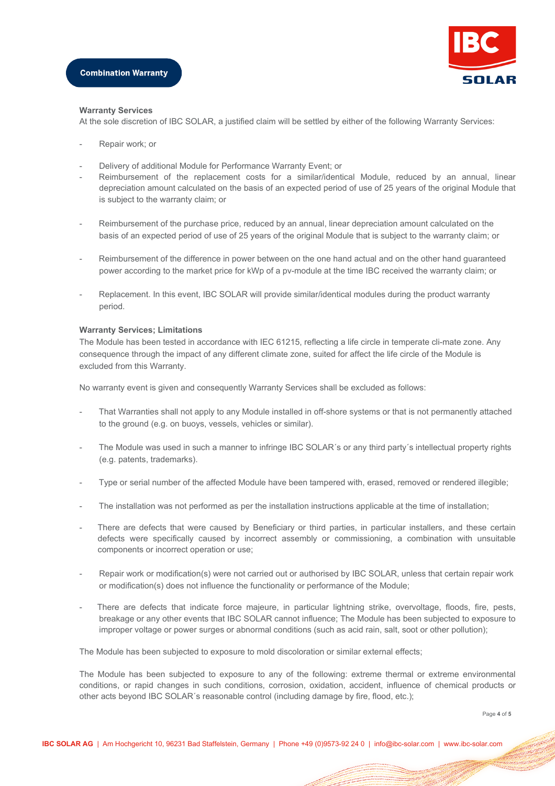

#### **Warranty Services**

At the sole discretion of IBC SOLAR, a justified claim will be settled by either of the following Warranty Services:

- Repair work; or
- Delivery of additional Module for Performance Warranty Event; or
- Reimbursement of the replacement costs for a similar/identical Module, reduced by an annual, linear depreciation amount calculated on the basis of an expected period of use of 25 years of the original Module that is subject to the warranty claim; or
- Reimbursement of the purchase price, reduced by an annual, linear depreciation amount calculated on the basis of an expected period of use of 25 years of the original Module that is subject to the warranty claim; or
- Reimbursement of the difference in power between on the one hand actual and on the other hand guaranteed power according to the market price for kWp of a pv-module at the time IBC received the warranty claim; or
- Replacement. In this event, IBC SOLAR will provide similar/identical modules during the product warranty period.

## **Warranty Services; Limitations**

The Module has been tested in accordance with IEC 61215, reflecting a life circle in temperate cli-mate zone. Any consequence through the impact of any different climate zone, suited for affect the life circle of the Module is excluded from this Warranty.

No warranty event is given and consequently Warranty Services shall be excluded as follows:

- That Warranties shall not apply to any Module installed in off-shore systems or that is not permanently attached to the ground (e.g. on buoys, vessels, vehicles or similar).
- The Module was used in such a manner to infringe IBC SOLAR's or any third party's intellectual property rights (e.g. patents, trademarks).
- Type or serial number of the affected Module have been tampered with, erased, removed or rendered illegible;
- The installation was not performed as per the installation instructions applicable at the time of installation;
- There are defects that were caused by Beneficiary or third parties, in particular installers, and these certain defects were specifically caused by incorrect assembly or commissioning, a combination with unsuitable components or incorrect operation or use;
- Repair work or modification(s) were not carried out or authorised by IBC SOLAR, unless that certain repair work or modification(s) does not influence the functionality or performance of the Module;
- There are defects that indicate force majeure, in particular lightning strike, overvoltage, floods, fire, pests, breakage or any other events that IBC SOLAR cannot influence; The Module has been subjected to exposure to improper voltage or power surges or abnormal conditions (such as acid rain, salt, soot or other pollution);

The Module has been subjected to exposure to mold discoloration or similar external effects;

The Module has been subjected to exposure to any of the following: extreme thermal or extreme environmental conditions, or rapid changes in such conditions, corrosion, oxidation, accident, influence of chemical products or other acts beyond IBC SOLAR´s reasonable control (including damage by fire, flood, etc.);

Page **4** of **5**